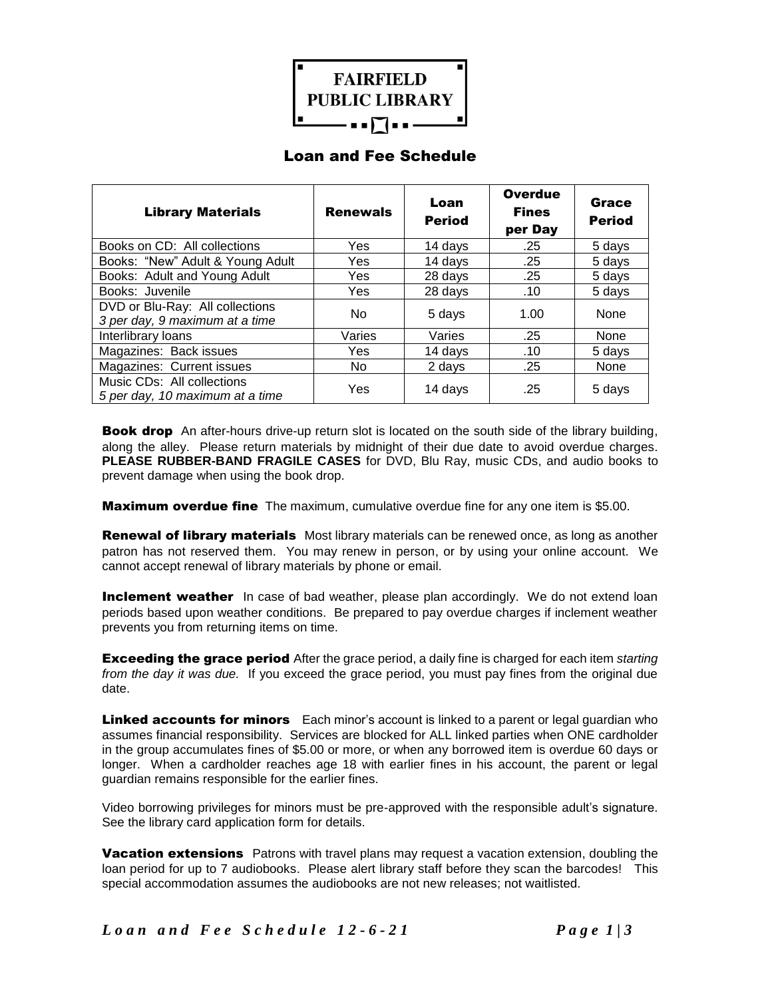

## Loan and Fee Schedule

| <b>Library Materials</b>                                          | <b>Renewals</b> | Loan<br><b>Period</b> | <b>Overdue</b><br><b>Fines</b><br>per Day | <b>Grace</b><br><b>Period</b> |
|-------------------------------------------------------------------|-----------------|-----------------------|-------------------------------------------|-------------------------------|
| Books on CD: All collections                                      | Yes             | 14 days               | .25                                       | 5 days                        |
| Books: "New" Adult & Young Adult                                  | Yes             | 14 days               | .25                                       | 5 days                        |
| Books: Adult and Young Adult                                      | Yes             | 28 days               | .25                                       | 5 days                        |
| Books: Juvenile                                                   | Yes             | 28 days               | .10                                       | 5 days                        |
| DVD or Blu-Ray: All collections<br>3 per day, 9 maximum at a time | No              | 5 days                | 1.00                                      | None                          |
| Interlibrary loans                                                | Varies          | Varies                | .25                                       | None                          |
| Magazines: Back issues                                            | Yes             | 14 days               | .10                                       | 5 days                        |
| Magazines: Current issues                                         | No.             | 2 days                | .25                                       | None                          |
| Music CDs: All collections<br>5 per day, 10 maximum at a time     | Yes             | 14 days               | .25                                       | 5 days                        |

Book dropAn after-hours drive-up return slot is located on the south side of the library building, along the alley. Please return materials by midnight of their due date to avoid overdue charges. **PLEASE RUBBER-BAND FRAGILE CASES** for DVD, Blu Ray, music CDs, and audio books to prevent damage when using the book drop.

**Maximum overdue fine** The maximum, cumulative overdue fine for any one item is \$5.00.

**Renewal of library materials** Most library materials can be renewed once, as long as another patron has not reserved them. You may renew in person, or by using your online account. We cannot accept renewal of library materials by phone or email.

**Inclement weather** In case of bad weather, please plan accordingly. We do not extend loan periods based upon weather conditions. Be prepared to pay overdue charges if inclement weather prevents you from returning items on time.

Exceeding the grace period After the grace period, a daily fine is charged for each item *starting from the day it was due.* If you exceed the grace period, you must pay fines from the original due date.

**Linked accounts for minors** Each minor's account is linked to a parent or legal guardian who assumes financial responsibility. Services are blocked for ALL linked parties when ONE cardholder in the group accumulates fines of \$5.00 or more, or when any borrowed item is overdue 60 days or longer. When a cardholder reaches age 18 with earlier fines in his account, the parent or legal guardian remains responsible for the earlier fines.

Video borrowing privileges for minors must be pre-approved with the responsible adult's signature. See the library card application form for details.

**Vacation extensions** Patrons with travel plans may request a vacation extension, doubling the loan period for up to 7 audiobooks. Please alert library staff before they scan the barcodes! This special accommodation assumes the audiobooks are not new releases; not waitlisted.

*L o a n a n d F e e S c h e d u l e 1 2 - 6 - 2 1 P a g e 1 | 3*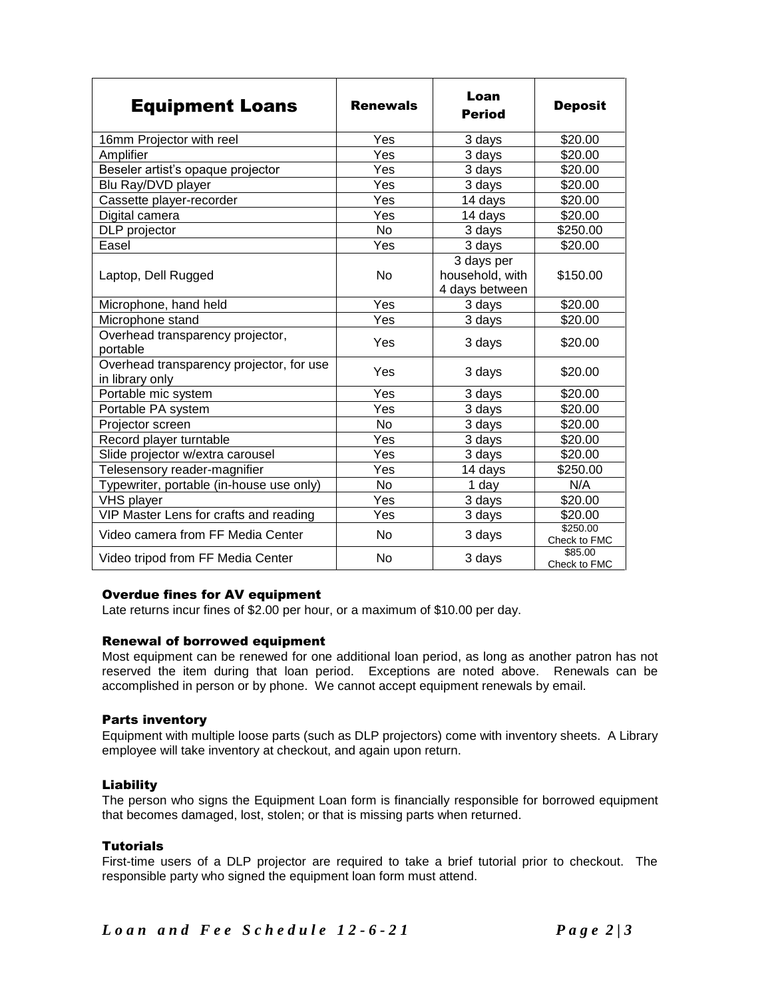| <b>Equipment Loans</b>                                      | <b>Renewals</b> | Loan<br><b>Period</b>                           | <b>Deposit</b>           |
|-------------------------------------------------------------|-----------------|-------------------------------------------------|--------------------------|
| 16mm Projector with reel                                    | Yes             | 3 days                                          | \$20.00                  |
| Amplifier                                                   | Yes             | 3 days                                          | \$20.00                  |
| Beseler artist's opaque projector                           | Yes             | 3 days                                          | \$20.00                  |
| Blu Ray/DVD player                                          | Yes             | 3 days                                          | \$20.00                  |
| Cassette player-recorder                                    | Yes             | 14 days                                         | \$20.00                  |
| Digital camera                                              | Yes             | 14 days                                         | \$20.00                  |
| DLP projector                                               | <b>No</b>       | 3 days                                          | \$250.00                 |
| Easel                                                       | Yes             | 3 days                                          | \$20.00                  |
| Laptop, Dell Rugged                                         | <b>No</b>       | 3 days per<br>household, with<br>4 days between | \$150.00                 |
| Microphone, hand held                                       | Yes             | 3 days                                          | \$20.00                  |
| Microphone stand                                            | Yes             | 3 days                                          | \$20.00                  |
| Overhead transparency projector,<br>portable                | Yes             | 3 days                                          | \$20.00                  |
| Overhead transparency projector, for use<br>in library only | Yes             | 3 days                                          | \$20.00                  |
| Portable mic system                                         | Yes             | 3 days                                          | \$20.00                  |
| Portable PA system                                          | Yes             | 3 days                                          | \$20.00                  |
| Projector screen                                            | N <sub>o</sub>  | 3 days                                          | \$20.00                  |
| Record player turntable                                     | Yes             | 3 days                                          | \$20.00                  |
| Slide projector w/extra carousel                            | Yes             | 3 days                                          | \$20.00                  |
| Telesensory reader-magnifier                                | Yes             | 14 days                                         | \$250.00                 |
| Typewriter, portable (in-house use only)                    | No              | 1 day                                           | N/A                      |
| <b>VHS player</b>                                           | Yes             | 3 days                                          | \$20.00                  |
| VIP Master Lens for crafts and reading                      | Yes             | 3 days                                          | \$20.00                  |
| Video camera from FF Media Center                           | No              | 3 days                                          | \$250.00<br>Check to FMC |
| Video tripod from FF Media Center                           | <b>No</b>       | 3 days                                          | \$85.00<br>Check to FMC  |

## Overdue fines for AV equipment

Late returns incur fines of \$2.00 per hour, or a maximum of \$10.00 per day.

#### Renewal of borrowed equipment

Most equipment can be renewed for one additional loan period, as long as another patron has not reserved the item during that loan period. Exceptions are noted above. Renewals can be accomplished in person or by phone. We cannot accept equipment renewals by email.

#### Parts inventory

Equipment with multiple loose parts (such as DLP projectors) come with inventory sheets. A Library employee will take inventory at checkout, and again upon return.

#### Liability

The person who signs the Equipment Loan form is financially responsible for borrowed equipment that becomes damaged, lost, stolen; or that is missing parts when returned.

## **Tutorials**

First-time users of a DLP projector are required to take a brief tutorial prior to checkout. The responsible party who signed the equipment loan form must attend.

*L o a n a n d F e e S c h e d u l e 1 2 - 6 - 2 1 P a g e 2 | 3*